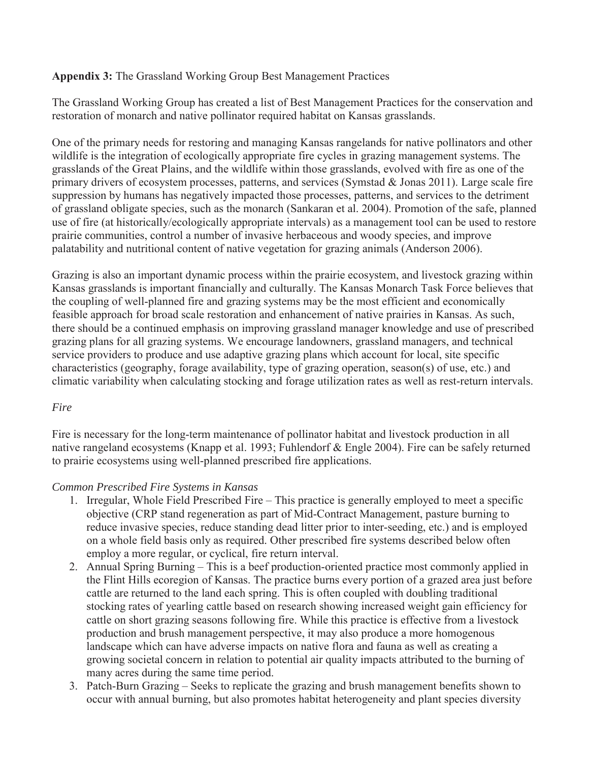# **Appendix 3:** The Grassland Working Group Best Management Practices

The Grassland Working Group has created a list of Best Management Practices for the conservation and restoration of monarch and native pollinator required habitat on Kansas grasslands.

One of the primary needs for restoring and managing Kansas rangelands for native pollinators and other wildlife is the integration of ecologically appropriate fire cycles in grazing management systems. The grasslands of the Great Plains, and the wildlife within those grasslands, evolved with fire as one of the primary drivers of ecosystem processes, patterns, and services (Symstad & Jonas 2011). Large scale fire suppression by humans has negatively impacted those processes, patterns, and services to the detriment of grassland obligate species, such as the monarch (Sankaran et al. 2004). Promotion of the safe, planned use of fire (at historically/ecologically appropriate intervals) as a management tool can be used to restore prairie communities, control a number of invasive herbaceous and woody species, and improve palatability and nutritional content of native vegetation for grazing animals (Anderson 2006).

Grazing is also an important dynamic process within the prairie ecosystem, and livestock grazing within Kansas grasslands is important financially and culturally. The Kansas Monarch Task Force believes that the coupling of well-planned fire and grazing systems may be the most efficient and economically feasible approach for broad scale restoration and enhancement of native prairies in Kansas. As such, there should be a continued emphasis on improving grassland manager knowledge and use of prescribed grazing plans for all grazing systems. We encourage landowners, grassland managers, and technical service providers to produce and use adaptive grazing plans which account for local, site specific characteristics (geography, forage availability, type of grazing operation, season(s) of use, etc.) and climatic variability when calculating stocking and forage utilization rates as well as rest-return intervals.

# *Fire*

Fire is necessary for the long-term maintenance of pollinator habitat and livestock production in all native rangeland ecosystems (Knapp et al. 1993; Fuhlendorf & Engle 2004). Fire can be safely returned to prairie ecosystems using well-planned prescribed fire applications.

# *Common Prescribed Fire Systems in Kansas*

- 1. Irregular, Whole Field Prescribed Fire This practice is generally employed to meet a specific objective (CRP stand regeneration as part of Mid-Contract Management, pasture burning to reduce invasive species, reduce standing dead litter prior to inter-seeding, etc.) and is employed on a whole field basis only as required. Other prescribed fire systems described below often employ a more regular, or cyclical, fire return interval.
- 2. Annual Spring Burning This is a beef production-oriented practice most commonly applied in the Flint Hills ecoregion of Kansas. The practice burns every portion of a grazed area just before cattle are returned to the land each spring. This is often coupled with doubling traditional stocking rates of yearling cattle based on research showing increased weight gain efficiency for cattle on short grazing seasons following fire. While this practice is effective from a livestock production and brush management perspective, it may also produce a more homogenous landscape which can have adverse impacts on native flora and fauna as well as creating a growing societal concern in relation to potential air quality impacts attributed to the burning of many acres during the same time period.
- 3. Patch-Burn Grazing Seeks to replicate the grazing and brush management benefits shown to occur with annual burning, but also promotes habitat heterogeneity and plant species diversity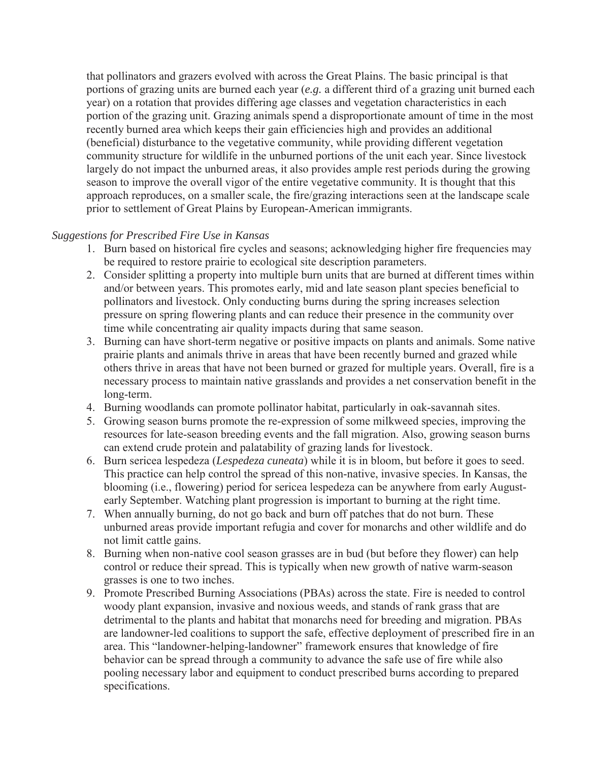that pollinators and grazers evolved with across the Great Plains. The basic principal is that portions of grazing units are burned each year (*e.g.* a different third of a grazing unit burned each year) on a rotation that provides differing age classes and vegetation characteristics in each portion of the grazing unit. Grazing animals spend a disproportionate amount of time in the most recently burned area which keeps their gain efficiencies high and provides an additional (beneficial) disturbance to the vegetative community, while providing different vegetation community structure for wildlife in the unburned portions of the unit each year. Since livestock largely do not impact the unburned areas, it also provides ample rest periods during the growing season to improve the overall vigor of the entire vegetative community. It is thought that this approach reproduces, on a smaller scale, the fire/grazing interactions seen at the landscape scale prior to settlement of Great Plains by European-American immigrants.

#### *Suggestions for Prescribed Fire Use in Kansas*

- 1. Burn based on historical fire cycles and seasons; acknowledging higher fire frequencies may be required to restore prairie to ecological site description parameters.
- 2. Consider splitting a property into multiple burn units that are burned at different times within and/or between years. This promotes early, mid and late season plant species beneficial to pollinators and livestock. Only conducting burns during the spring increases selection pressure on spring flowering plants and can reduce their presence in the community over time while concentrating air quality impacts during that same season.
- 3. Burning can have short-term negative or positive impacts on plants and animals. Some native prairie plants and animals thrive in areas that have been recently burned and grazed while others thrive in areas that have not been burned or grazed for multiple years. Overall, fire is a necessary process to maintain native grasslands and provides a net conservation benefit in the long-term.
- 4. Burning woodlands can promote pollinator habitat, particularly in oak-savannah sites.
- 5. Growing season burns promote the re-expression of some milkweed species, improving the resources for late-season breeding events and the fall migration. Also, growing season burns can extend crude protein and palatability of grazing lands for livestock.
- 6. Burn sericea lespedeza (*Lespedeza cuneata*) while it is in bloom, but before it goes to seed. This practice can help control the spread of this non-native, invasive species. In Kansas, the blooming (i.e., flowering) period for sericea lespedeza can be anywhere from early Augustearly September. Watching plant progression is important to burning at the right time.
- 7. When annually burning, do not go back and burn off patches that do not burn. These unburned areas provide important refugia and cover for monarchs and other wildlife and do not limit cattle gains.
- 8. Burning when non-native cool season grasses are in bud (but before they flower) can help control or reduce their spread. This is typically when new growth of native warm-season grasses is one to two inches.
- 9. Promote Prescribed Burning Associations (PBAs) across the state. Fire is needed to control woody plant expansion, invasive and noxious weeds, and stands of rank grass that are detrimental to the plants and habitat that monarchs need for breeding and migration. PBAs are landowner-led coalitions to support the safe, effective deployment of prescribed fire in an area. This "landowner-helping-landowner" framework ensures that knowledge of fire behavior can be spread through a community to advance the safe use of fire while also pooling necessary labor and equipment to conduct prescribed burns according to prepared specifications.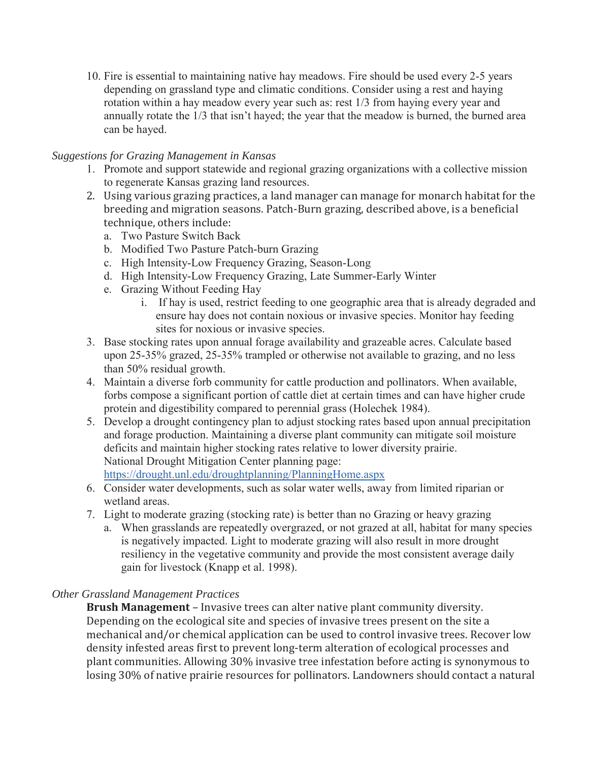10. Fire is essential to maintaining native hay meadows. Fire should be used every 2-5 years depending on grassland type and climatic conditions. Consider using a rest and haying rotation within a hay meadow every year such as: rest 1/3 from haying every year and annually rotate the 1/3 that isn't hayed; the year that the meadow is burned, the burned area can be hayed.

### *Suggestions for Grazing Management in Kansas*

- 1. Promote and support statewide and regional grazing organizations with a collective mission to regenerate Kansas grazing land resources.
- 2. Using various grazing practices, a land manager can manage for monarch habitat for the breeding and migration seasons. Patch-Burn grazing, described above, is a beneficial technique, others include:
	- a. Two Pasture Switch Back
	- b. Modified Two Pasture Patch-burn Grazing
	- c. High Intensity-Low Frequency Grazing, Season-Long
	- d. High Intensity-Low Frequency Grazing, Late Summer-Early Winter
	- e. Grazing Without Feeding Hay
		- i. If hay is used, restrict feeding to one geographic area that is already degraded and ensure hay does not contain noxious or invasive species. Monitor hay feeding sites for noxious or invasive species.
- 3. Base stocking rates upon annual forage availability and grazeable acres. Calculate based upon 25-35% grazed, 25-35% trampled or otherwise not available to grazing, and no less than 50% residual growth.
- 4. Maintain a diverse forb community for cattle production and pollinators. When available, forbs compose a significant portion of cattle diet at certain times and can have higher crude protein and digestibility compared to perennial grass (Holechek 1984).
- 5. Develop a drought contingency plan to adjust stocking rates based upon annual precipitation and forage production. Maintaining a diverse plant community can mitigate soil moisture deficits and maintain higher stocking rates relative to lower diversity prairie. National Drought Mitigation Center planning page: https://drought.unl.edu/droughtplanning/PlanningHome.aspx
- 6. Consider water developments, such as solar water wells, away from limited riparian or wetland areas.
- 7. Light to moderate grazing (stocking rate) is better than no Grazing or heavy grazing
	- a. When grasslands are repeatedly overgrazed, or not grazed at all, habitat for many species is negatively impacted. Light to moderate grazing will also result in more drought resiliency in the vegetative community and provide the most consistent average daily gain for livestock (Knapp et al. 1998).

# *Other Grassland Management Practices*

**Brush Management** – Invasive trees can alter native plant community diversity. Depending on the ecological site and species of invasive trees present on the site a mechanical and/or chemical application can be used to control invasive trees. Recover low density infested areas first to prevent long-term alteration of ecological processes and plant communities. Allowing 30% invasive tree infestation before acting is synonymous to losing 30% of native prairie resources for pollinators. Landowners should contact a natural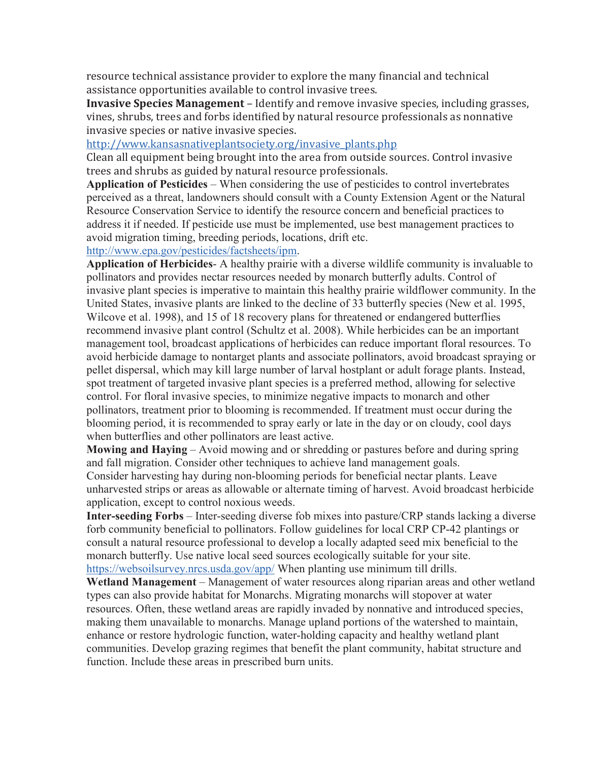resource technical assistance provider to explore the many financial and technical assistance opportunities available to control invasive trees.

**Invasive Species Management** – Identify and remove invasive species, including grasses, vines, shrubs, trees and forbs identified by natural resource professionals as nonnative invasive species or native invasive species.

http://www.kansasnativeplantsociety.org/invasive\_plants.php

Clean all equipment being brought into the area from outside sources. Control invasive trees and shrubs as guided by natural resource professionals.

**Application of Pesticides** – When considering the use of pesticides to control invertebrates perceived as a threat, landowners should consult with a County Extension Agent or the Natural Resource Conservation Service to identify the resource concern and beneficial practices to address it if needed. If pesticide use must be implemented, use best management practices to avoid migration timing, breeding periods, locations, drift etc.

http://www.epa.gov/pesticides/factsheets/ipm.

**Application of Herbicides**- A healthy prairie with a diverse wildlife community is invaluable to pollinators and provides nectar resources needed by monarch butterfly adults. Control of invasive plant species is imperative to maintain this healthy prairie wildflower community. In the United States, invasive plants are linked to the decline of 33 butterfly species (New et al. 1995, Wilcove et al. 1998), and 15 of 18 recovery plans for threatened or endangered butterflies recommend invasive plant control (Schultz et al. 2008). While herbicides can be an important management tool, broadcast applications of herbicides can reduce important floral resources. To avoid herbicide damage to nontarget plants and associate pollinators, avoid broadcast spraying or pellet dispersal, which may kill large number of larval hostplant or adult forage plants. Instead, spot treatment of targeted invasive plant species is a preferred method, allowing for selective control. For floral invasive species, to minimize negative impacts to monarch and other pollinators, treatment prior to blooming is recommended. If treatment must occur during the blooming period, it is recommended to spray early or late in the day or on cloudy, cool days when butterflies and other pollinators are least active.

**Mowing and Haying** – Avoid mowing and or shredding or pastures before and during spring and fall migration. Consider other techniques to achieve land management goals.

Consider harvesting hay during non-blooming periods for beneficial nectar plants. Leave unharvested strips or areas as allowable or alternate timing of harvest. Avoid broadcast herbicide application, except to control noxious weeds.

**Inter-seeding Forbs** – Inter-seeding diverse fob mixes into pasture/CRP stands lacking a diverse forb community beneficial to pollinators. Follow guidelines for local CRP CP-42 plantings or consult a natural resource professional to develop a locally adapted seed mix beneficial to the monarch butterfly. Use native local seed sources ecologically suitable for your site. https://websoilsurvey.nrcs.usda.gov/app/ When planting use minimum till drills.

**Wetland Management** – Management of water resources along riparian areas and other wetland types can also provide habitat for Monarchs. Migrating monarchs will stopover at water resources. Often, these wetland areas are rapidly invaded by nonnative and introduced species, making them unavailable to monarchs. Manage upland portions of the watershed to maintain, enhance or restore hydrologic function, water-holding capacity and healthy wetland plant communities. Develop grazing regimes that benefit the plant community, habitat structure and function. Include these areas in prescribed burn units.